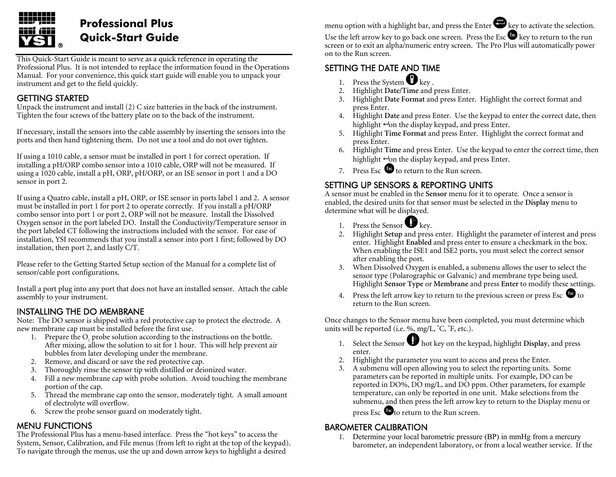

# **Professional Plus Quick-Start Guide**

This Quick-Start Guide is meant to serve as a quick reference in operating the Professional Plus. It is not intended to replace the information found in the Operations Manual. For your convenience, this quick start guide will enable you to unpack your instrument and get to the field quickly.

### GETTING STARTED

Unpack the instrument and install (2) C size batteries in the back of the instrument. Tighten the four screws of the battery plate on to the back of the instrument.

If necessary, install the sensors into the cable assembly by inserting the sensors into the ports and then hand tightening them. Do not use a tool and do not over tighten.

If using a 1010 cable, a sensor must be installed in port 1 for correct operation. If installing a pH/ORP combo sensor into a 1010 cable, ORP will not be measured. If using a 1020 cable, install a pH, ORP, pH/ORP, or an ISE sensor in port 1 and a DO sensor in port 2.

If using a Quatro cable, install a pH, ORP, or ISE sensor in ports label 1 and 2. A sensor must be installed in port 1 for port 2 to operate correctly. If you install a pH/ORP combo sensor into port 1 or port 2, ORP will not be measure. Install the Dissolved Oxygen sensor in the port labeled DO. Install the Conductivity/Temperature sensor in the port labeled CT following the instructions included with the sensor. For ease of installation, YSI recommends that you install a sensor into port 1 first; followed by DO installation, then port 2, and lastly C/T.

Please refer to the Getting Started Setup section of the Manual for a complete list of sensor/cable port configurations.

Install a port plug into any port that does not have an installed sensor. Attach the cable assembly to your instrument.

### INSTALLING THE DO MEMBRANE

Note: The DO sensor is shipped with a red protective cap to protect the electrode. A new membrane cap must be installed before the first use.

- 1. Prepare the  $O_2$  probe solution according to the instructions on the bottle. After mixing, allow the solution to sit for 1 hour. This will help prevent air bubbles from later developing under the membrane.
- 2. Remove, and discard or save the red protective cap.
- 3. Thoroughly rinse the sensor tip with distilled or deionized water.
- 4. Fill a new membrane cap with probe solution. Avoid touching the membrane portion of the cap.
- 5. Thread the membrane cap onto the sensor, moderately tight. A small amount of electrolyte will overflow.
- 6. Screw the probe sensor guard on moderately tight.

#### MENU FUNCTIONS

The Professional Plus has a menu-based interface. Press the "hot keys" to access the System, Sensor, Calibration, and File menus (from left to right at the top of the keypad). To navigate through the menus, use the up and down arrow keys to highlight a desired

menu option with a highlight bar, and press the Enter  $\bullet$  key to activate the selection.

Use the left arrow key to go back one screen. Press the Esc  $\bullet\bullet$  key to return to the run screen or to exit an alpha/numeric entry screen. The Pro Plus will automatically power on to the Run screen.

## SETTING THE DATE AND TIME

- 1. Press the System  $\bigcup$  key.
- 2. Highlight **Date/Time** and press Enter.
- 3. Highlight **Date Format** and press Enter. Highlight the correct format and press Enter.
- 4. Highlight **Date** and press Enter. Use the keypad to enter the correct date, then highlight  $\leftrightarrow$ on the display keypad, and press Enter.
- 5. Highlight **Time Format** and press Enter. Highlight the correct format and press Enter.
- 6. Highlight **Time** and press Enter. Use the keypad to enter the correct time, then highlight  $\leftrightarrow$ on the display keypad, and press Enter.
- 7. Press Esc  $\bullet\bullet$  to return to the Run screen.

### SETTING UP SENSORS & REPORTING UNITS

A sensor must be enabled in the **Sensor** menu for it to operate. Once a sensor is enabled, the desired units for that sensor must be selected in the **Display** menu to determine what will be displayed.

- 1. Press the Sensor  $\blacktriangleright$  key.
- 2. Highlight **Setup** and press enter. Highlight the parameter of interest and press enter. Highlight **Enabled** and press enter to ensure a checkmark in the box. When enabling the ISE1 and ISE2 ports, you must select the correct sensor after enabling the port.
- 3. When Dissolved Oxygen is enabled, a submenu allows the user to select the sensor type (Polarographic or Galvanic) and membrane type being used. Highlight **Sensor Type** or **Membrane** and press **Enter** to modify these settings.
- 4. Press the left arrow key to return to the previous screen or press Esc  $\bullet$  to return to the Run screen.

Once changes to the Sensor menu have been completed, you must determine which units will be reported (i.e. %, mg/L,  $^{\circ}C$ ,  $^{\circ}F$ , etc.).

- 1. Select the Sensor **the Sensor intellect** on the keypad, highlight **Display**, and press enter.
- 2. Highlight the parameter you want to access and press the Enter.
- 3. A submenu will open allowing you to select the reporting units. Some parameters can be reported in multiple units. For example, DO can be reported in DO%, DO mg/L, and DO ppm. Other parameters, for example temperature, can only be reported in one unit. Make selections from the submenu, and then press the left arrow key to return to the Display menu or

press Esc <sup>to</sup> to return to the Run screen.

### BAROMETER CALIBRATION

1. Determine your local barometric pressure (BP) in mmHg from a mercury barometer, an independent laboratory, or from a local weather service. If the